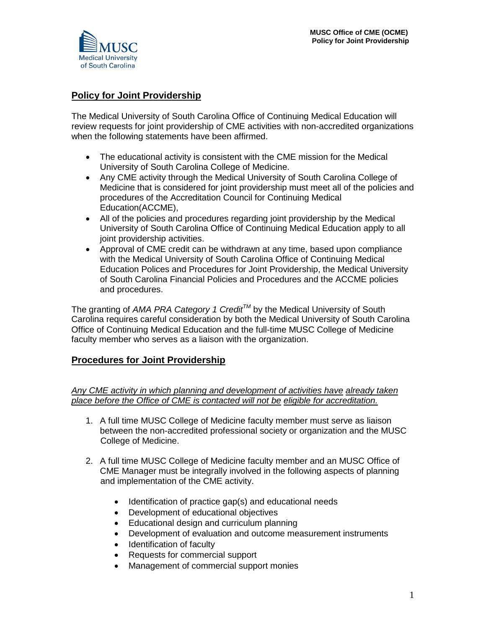## **Policy for Joint Providership**

The Medical University of South Carolina Office of Continuing Medical Education will review requests for joint providership of CME activities with non-accredited organizations when the following statements have been affirmed.

- The educational activity is consistent with the CME mission for the Medical University of South Carolina College of Medicine.
- Any CME activity through the Medical University of South Carolina College of Medicine that is considered for joint providership must meet all of the policies and procedures of the Accreditation Council for Continuing Medical Education(ACCME),
- All of the policies and procedures regarding joint providership by the Medical University of South Carolina Office of Continuing Medical Education apply to all joint providership activities.
- Approval of CME credit can be withdrawn at any time, based upon compliance with the Medical University of South Carolina Office of Continuing Medical Education Polices and Procedures for Joint Providership, the Medical University of South Carolina Financial Policies and Procedures and the ACCME policies and procedures.

The granting of *AMA PRA Category 1 CreditTM* by the Medical University of South Carolina requires careful consideration by both the Medical University of South Carolina Office of Continuing Medical Education and the full-time MUSC College of Medicine faculty member who serves as a liaison with the organization.

## **Procedures for Joint Providership**

*Any CME activity in which planning and development of activities have already taken place before the Office of CME is contacted will not be eligible for accreditation.* 

- 1. A full time MUSC College of Medicine faculty member must serve as liaison between the non-accredited professional society or organization and the MUSC College of Medicine.
- 2. A full time MUSC College of Medicine faculty member and an MUSC Office of CME Manager must be integrally involved in the following aspects of planning and implementation of the CME activity.
	- Identification of practice gap(s) and educational needs
	- Development of educational objectives
	- Educational design and curriculum planning
	- Development of evaluation and outcome measurement instruments
	- Identification of faculty
	- Requests for commercial support
	- Management of commercial support monies